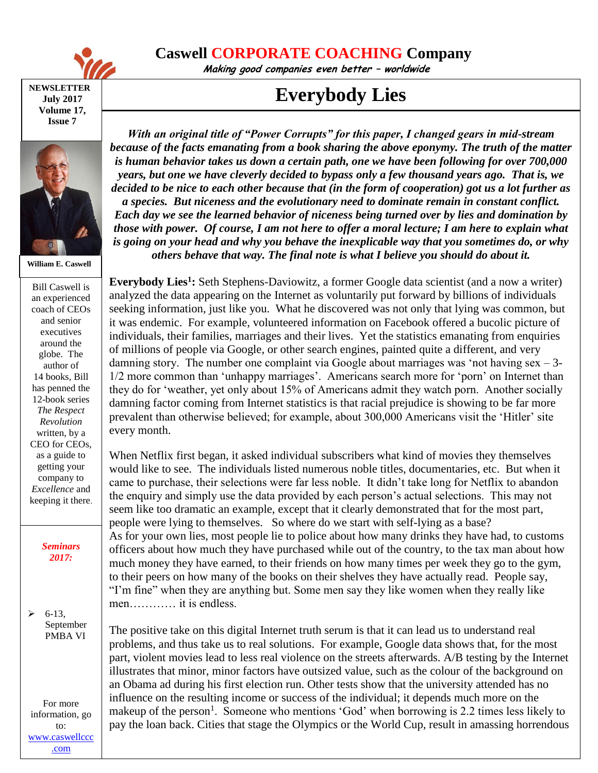

**Caswell CORPORATE COACHING Company**

**Making good companies even better – worldwide**

**NEWSLETTER July 2017 Volume 17, Issue 7**



**William E. Caswell**

Bill Caswell is an experienced coach of CEOs and senior executives around the globe. The author of 14 books, Bill has penned the 12-book series *The Respect Revolution* written, by a CEO for CEOs, as a guide to getting your company to *Excellence* and keeping it there.

> *Seminars 2017:*

 $\geq 6-13$ , September PMBA VI

For more information, go to: [www.caswellccc](http://www.caswellccc.com/) [.com](http://www.caswellccc.com/)

*With an original title of "Power Corrupts" for this paper, I changed gears in mid-stream because of the facts emanating from a book sharing the above eponymy. The truth of the matter is human behavior takes us down a certain path, one we have been following for over 700,000 years, but one we have cleverly decided to bypass only a few thousand years ago. That is, we decided to be nice to each other because that (in the form of cooperation) got us a lot further as a species. But niceness and the evolutionary need to dominate remain in constant conflict. Each day we see the learned behavior of niceness being turned over by lies and domination by those with power. Of course, I am not here to offer a moral lecture; I am here to explain what is going on your head and why you behave the inexplicable way that you sometimes do, or why others behave that way. The final note is what I believe you should do about it.*

**Everybody Lies**

**Everybody Lies<sup>1</sup> :** Seth Stephens-Daviowitz, a former Google data scientist (and a now a writer) analyzed the data appearing on the Internet as voluntarily put forward by billions of individuals seeking information, just like you. What he discovered was not only that lying was common, but it was endemic. For example, volunteered information on Facebook offered a bucolic picture of individuals, their families, marriages and their lives. Yet the statistics emanating from enquiries of millions of people via Google, or other search engines, painted quite a different, and very damning story. The number one complaint via Google about marriages was 'not having  $sex - 3$ -1/2 more common than 'unhappy marriages'. Americans search more for 'porn' on Internet than they do for 'weather, yet only about 15% of Americans admit they watch porn. Another socially damning factor coming from Internet statistics is that racial prejudice is showing to be far more prevalent than otherwise believed; for example, about 300,000 Americans visit the 'Hitler' site every month.

When Netflix first began, it asked individual subscribers what kind of movies they themselves would like to see. The individuals listed numerous noble titles, documentaries, etc. But when it came to purchase, their selections were far less noble. It didn't take long for Netflix to abandon the enquiry and simply use the data provided by each person's actual selections. This may not seem like too dramatic an example, except that it clearly demonstrated that for the most part, people were lying to themselves. So where do we start with self-lying as a base? As for your own lies, most people lie to police about how many drinks they have had, to customs officers about how much they have purchased while out of the country, to the tax man about how much money they have earned, to their friends on how many times per week they go to the gym, to their peers on how many of the books on their shelves they have actually read. People say, "I'm fine" when they are anything but. Some men say they like women when they really like men………… it is endless.

The positive take on this digital Internet truth serum is that it can lead us to understand real problems, and thus take us to real solutions. For example, Google data shows that, for the most part, violent movies lead to less real violence on the streets afterwards. A/B testing by the Internet illustrates that minor, minor factors have outsized value, such as the colour of the background on an Obama ad during his first election run. Other tests show that the university attended has no influence on the resulting income or success of the individual; it depends much more on the makeup of the person<sup>1</sup>. Someone who mentions 'God' when borrowing is 2.2 times less likely to pay the loan back. Cities that stage the Olympics or the World Cup, result in amassing horrendous